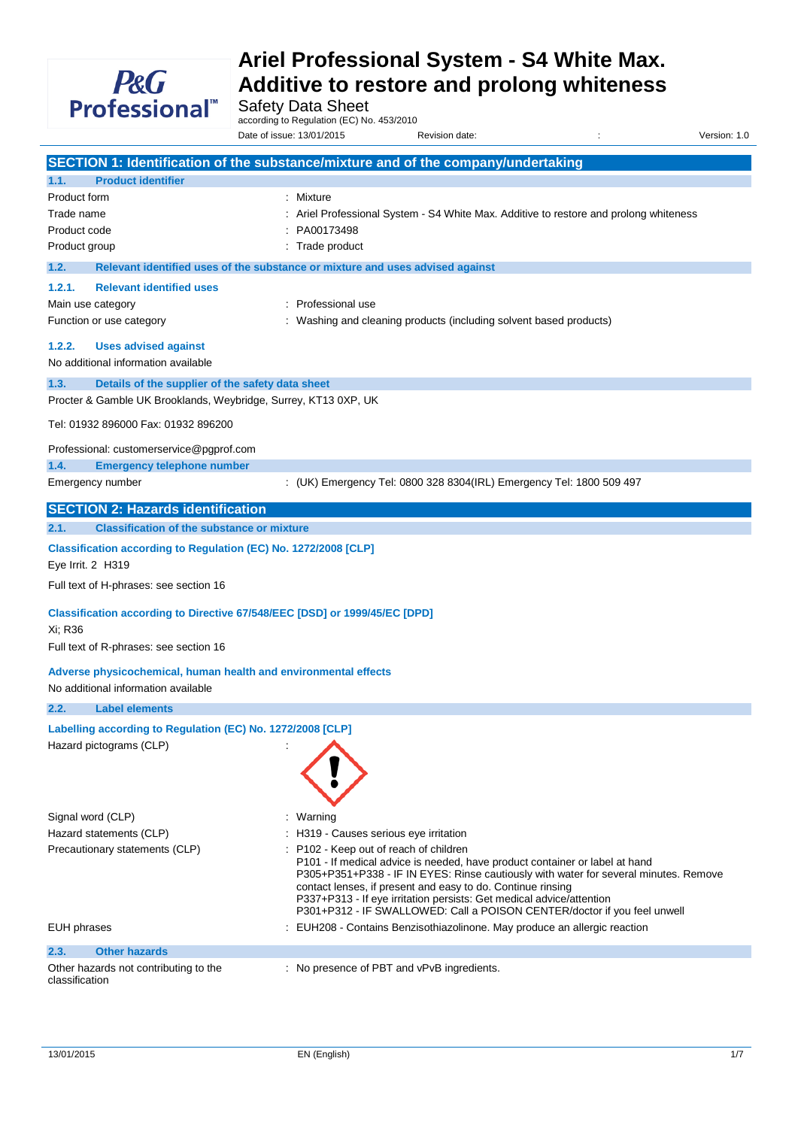

Safety Data Sheet

according to Regulation (EC) No. 453/2010

Date of issue: 13/01/2015 Revision date: in the state of issue: 1.0

**SECTION 1: Identification of the substance/mixture and of the company/undertaking 1.1. Product identifier** Product form : Mixture Trade name **include 12 and 20 ariel Professional System - S4 White Max. Additive to restore and prolong whiteness** Product code : PA00173498 Product group **in the case of the contract of the contract of the contract of the contract of the contract of the contract of the contract of the contract of the contract of the contract of the contract of the contract of 1.2. Relevant identified uses of the substance or mixture and uses advised against 1.2.1. Relevant identified uses** Main use category **interest and the COV** in Professional use Function or use category **in the state of the Contract Constant** Washing and cleaning products (including solvent based products) **1.2.2. Uses advised against** No additional information available **1.3. Details of the supplier of the safety data sheet** Procter & Gamble UK Brooklands, Weybridge, Surrey, KT13 0XP, UK Tel: 01932 896000 Fax: 01932 896200 Professional: customerservice@pgprof.com **1.4. Emergency telephone number** Emergency number : (UK) Emergency Tel: 0800 328 8304(IRL) Emergency Tel: 1800 509 497 **SECTION 2: Hazards identification 2.1. Classification of the substance or mixture Classification according to Regulation (EC) No. 1272/2008 [CLP]** Eye Irrit. 2 H319 Full text of H-phrases: see section 16 **Classification according to Directive 67/548/EEC [DSD] or 1999/45/EC [DPD]** Xi; R36 Full text of R-phrases: see section 16 **Adverse physicochemical, human health and environmental effects** No additional information available **2.2. Label elements Labelling according to Regulation (EC) No. 1272/2008 [CLP]** Hazard pictograms (CLP) : Signal word (CLP) : Warning Hazard statements (CLP) : H319 - Causes serious eye irritation Precautionary statements (CLP) : P102 - Keep out of reach of children P101 - If medical advice is needed, have product container or label at hand P305+P351+P338 - IF IN EYES: Rinse cautiously with water for several minutes. Remove contact lenses, if present and easy to do. Continue rinsing P337+P313 - If eye irritation persists: Get medical advice/attention P301+P312 - IF SWALLOWED: Call a POISON CENTER/doctor if you feel unwell EUH phrases **EUH208** - Contains Benzisothiazolinone. May produce an allergic reaction **2.3. Other hazards** Other hazards not contributing to the classification : No presence of PBT and vPvB ingredients.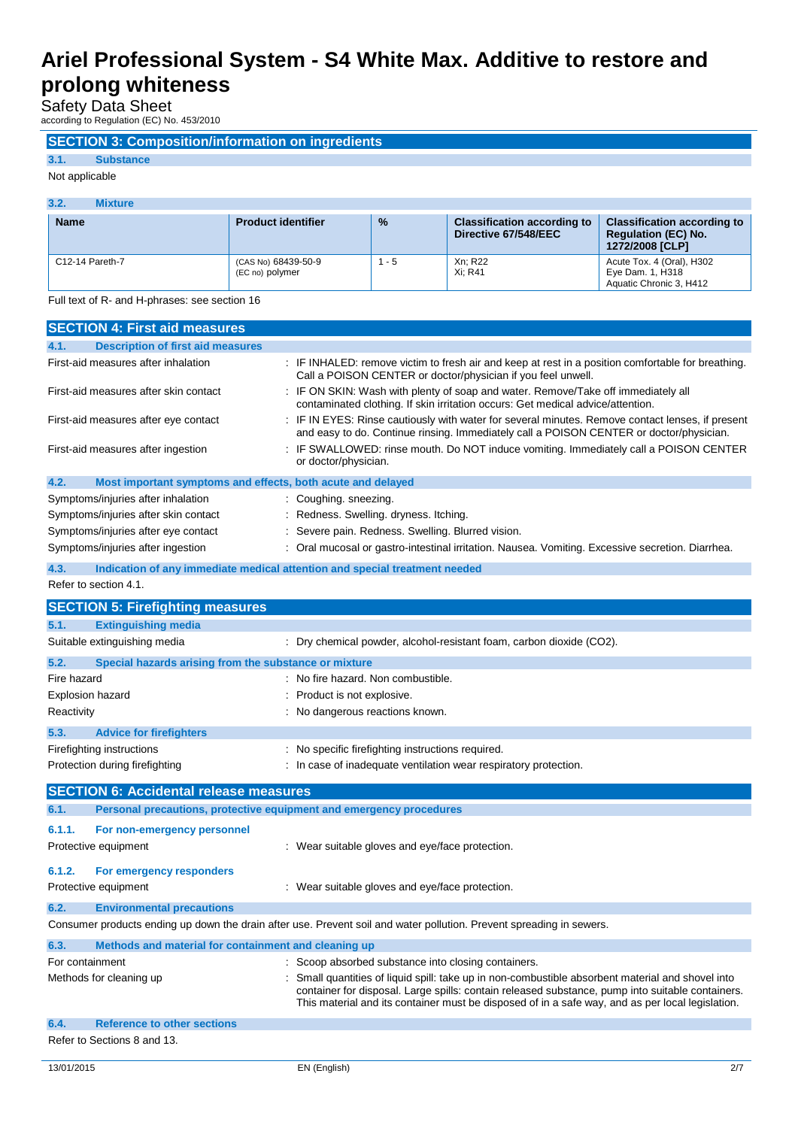Safety Data Sheet

according to Regulation (EC) No. 453/2010

### **SECTION 3: Composition/information on ingredients**

## **3.1. Substance**

### Not applicable

| 3.2.<br><b>Mixture</b> |                                        |               |                                                            |                                                                                            |
|------------------------|----------------------------------------|---------------|------------------------------------------------------------|--------------------------------------------------------------------------------------------|
| <b>Name</b>            | <b>Product identifier</b>              | $\frac{9}{6}$ | <b>Classification according to</b><br>Directive 67/548/EEC | <b>Classification according to</b><br><b>Regulation (EC) No.</b><br><b>1272/2008 [CLP]</b> |
| C12-14 Pareth-7        | (CAS No) 68439-50-9<br>(EC no) polymer | $1 - 5$       | Xn: R22<br>Xi: R41                                         | Acute Tox. 4 (Oral), H302<br>Eye Dam. 1, H318<br>Aquatic Chronic 3, H412                   |

Full text of R- and H-phrases: see section 16

| <b>SECTION 4: First aid measures</b>                                        |                                                                                                                                                                                                                                                                                                         |  |  |
|-----------------------------------------------------------------------------|---------------------------------------------------------------------------------------------------------------------------------------------------------------------------------------------------------------------------------------------------------------------------------------------------------|--|--|
| <b>Description of first aid measures</b><br>4.1.                            |                                                                                                                                                                                                                                                                                                         |  |  |
| First-aid measures after inhalation                                         | : IF INHALED: remove victim to fresh air and keep at rest in a position comfortable for breathing.<br>Call a POISON CENTER or doctor/physician if you feel unwell.                                                                                                                                      |  |  |
| First-aid measures after skin contact                                       | : IF ON SKIN: Wash with plenty of soap and water. Remove/Take off immediately all<br>contaminated clothing. If skin irritation occurs: Get medical advice/attention.                                                                                                                                    |  |  |
| First-aid measures after eye contact                                        | : IF IN EYES: Rinse cautiously with water for several minutes. Remove contact lenses, if present<br>and easy to do. Continue rinsing. Immediately call a POISON CENTER or doctor/physician.                                                                                                             |  |  |
| First-aid measures after ingestion                                          | : IF SWALLOWED: rinse mouth. Do NOT induce vomiting. Immediately call a POISON CENTER<br>or doctor/physician.                                                                                                                                                                                           |  |  |
| Most important symptoms and effects, both acute and delayed<br>4.2.         |                                                                                                                                                                                                                                                                                                         |  |  |
| Symptoms/injuries after inhalation<br>Coughing. sneezing.                   |                                                                                                                                                                                                                                                                                                         |  |  |
| Symptoms/injuries after skin contact                                        | Redness. Swelling. dryness. Itching.                                                                                                                                                                                                                                                                    |  |  |
| Symptoms/injuries after eye contact                                         | Severe pain. Redness. Swelling. Blurred vision.                                                                                                                                                                                                                                                         |  |  |
| Symptoms/injuries after ingestion                                           | Oral mucosal or gastro-intestinal irritation. Nausea. Vomiting. Excessive secretion. Diarrhea.                                                                                                                                                                                                          |  |  |
| 4.3.                                                                        | Indication of any immediate medical attention and special treatment needed                                                                                                                                                                                                                              |  |  |
| Refer to section 4.1.                                                       |                                                                                                                                                                                                                                                                                                         |  |  |
| <b>SECTION 5: Firefighting measures</b>                                     |                                                                                                                                                                                                                                                                                                         |  |  |
| 5.1.<br><b>Extinguishing media</b>                                          |                                                                                                                                                                                                                                                                                                         |  |  |
| Suitable extinguishing media                                                | : Dry chemical powder, alcohol-resistant foam, carbon dioxide (CO2).                                                                                                                                                                                                                                    |  |  |
| 5.2.<br>Special hazards arising from the substance or mixture               |                                                                                                                                                                                                                                                                                                         |  |  |
| Fire hazard                                                                 | No fire hazard. Non combustible.                                                                                                                                                                                                                                                                        |  |  |
| Explosion hazard                                                            | Product is not explosive.                                                                                                                                                                                                                                                                               |  |  |
| Reactivity                                                                  | No dangerous reactions known.                                                                                                                                                                                                                                                                           |  |  |
| 5.3.<br><b>Advice for firefighters</b>                                      |                                                                                                                                                                                                                                                                                                         |  |  |
| Firefighting instructions                                                   | No specific firefighting instructions required.                                                                                                                                                                                                                                                         |  |  |
| Protection during firefighting                                              | In case of inadequate ventilation wear respiratory protection.                                                                                                                                                                                                                                          |  |  |
| <b>SECTION 6: Accidental release measures</b>                               |                                                                                                                                                                                                                                                                                                         |  |  |
| 6.1.<br>Personal precautions, protective equipment and emergency procedures |                                                                                                                                                                                                                                                                                                         |  |  |
| 6.1.1.<br>For non-emergency personnel                                       |                                                                                                                                                                                                                                                                                                         |  |  |
| Protective equipment                                                        | : Wear suitable gloves and eye/face protection.                                                                                                                                                                                                                                                         |  |  |
| 6.1.2.<br>For emergency responders                                          |                                                                                                                                                                                                                                                                                                         |  |  |
| Protective equipment                                                        | : Wear suitable gloves and eye/face protection.                                                                                                                                                                                                                                                         |  |  |
| 6.2.<br><b>Environmental precautions</b>                                    |                                                                                                                                                                                                                                                                                                         |  |  |
|                                                                             | Consumer products ending up down the drain after use. Prevent soil and water pollution. Prevent spreading in sewers.                                                                                                                                                                                    |  |  |
| Methods and material for containment and cleaning up<br>6.3.                |                                                                                                                                                                                                                                                                                                         |  |  |
| For containment                                                             | Scoop absorbed substance into closing containers.                                                                                                                                                                                                                                                       |  |  |
| Methods for cleaning up                                                     | Small quantities of liquid spill: take up in non-combustible absorbent material and shovel into<br>container for disposal. Large spills: contain released substance, pump into suitable containers.<br>This material and its container must be disposed of in a safe way, and as per local legislation. |  |  |
| <b>Reference to other sections</b><br>6.4.                                  |                                                                                                                                                                                                                                                                                                         |  |  |
| Refer to Sections 8 and 13.                                                 |                                                                                                                                                                                                                                                                                                         |  |  |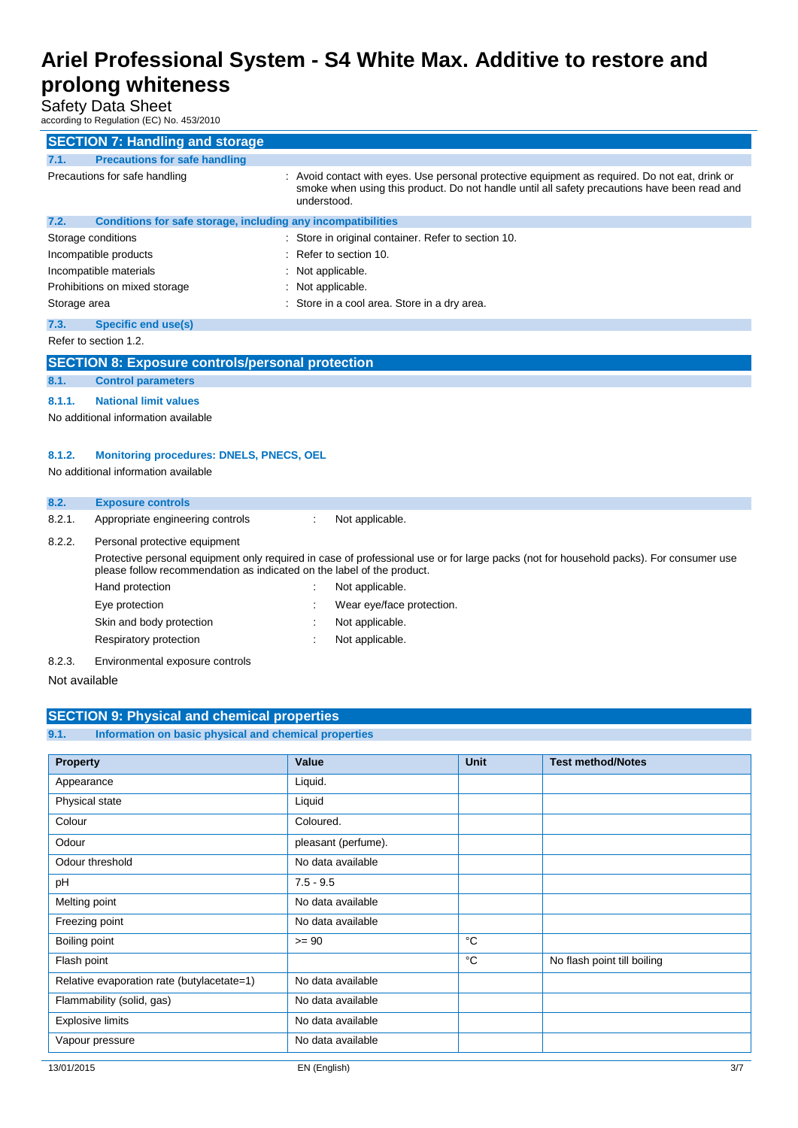Safety Data Sheet

according to Regulation (EC) No. 453/2010

| according to Regulation (EC) No. 453/2010                 |                                                              |  |                                                                                                                                                                                                             |
|-----------------------------------------------------------|--------------------------------------------------------------|--|-------------------------------------------------------------------------------------------------------------------------------------------------------------------------------------------------------------|
|                                                           | <b>SECTION 7: Handling and storage</b>                       |  |                                                                                                                                                                                                             |
| 7.1.                                                      | <b>Precautions for safe handling</b>                         |  |                                                                                                                                                                                                             |
|                                                           | Precautions for safe handling                                |  | Avoid contact with eyes. Use personal protective equipment as required. Do not eat, drink or<br>smoke when using this product. Do not handle until all safety precautions have been read and<br>understood. |
| 7.2.                                                      | Conditions for safe storage, including any incompatibilities |  |                                                                                                                                                                                                             |
|                                                           | Storage conditions                                           |  | Store in original container. Refer to section 10.                                                                                                                                                           |
|                                                           | Incompatible products                                        |  | Refer to section 10.                                                                                                                                                                                        |
|                                                           | Incompatible materials                                       |  | Not applicable.                                                                                                                                                                                             |
|                                                           | Prohibitions on mixed storage                                |  | Not applicable.                                                                                                                                                                                             |
| Storage area                                              |                                                              |  | Store in a cool area. Store in a dry area.                                                                                                                                                                  |
| 7.3.                                                      | Specific end use(s)                                          |  |                                                                                                                                                                                                             |
|                                                           | Refer to section 1.2.                                        |  |                                                                                                                                                                                                             |
|                                                           | <b>SECTION 8: Exposure controls/personal protection</b>      |  |                                                                                                                                                                                                             |
| 8.1.                                                      | <b>Control parameters</b>                                    |  |                                                                                                                                                                                                             |
| 8.1.1.                                                    | <b>National limit values</b>                                 |  |                                                                                                                                                                                                             |
| No additional information available                       |                                                              |  |                                                                                                                                                                                                             |
|                                                           |                                                              |  |                                                                                                                                                                                                             |
| <b>Monitoring procedures: DNELS, PNECS, OEL</b><br>8.1.2. |                                                              |  |                                                                                                                                                                                                             |
|                                                           | No additional information available                          |  |                                                                                                                                                                                                             |
| 8.2.                                                      | <b>Exposure controls</b>                                     |  |                                                                                                                                                                                                             |
| 8.2.1.                                                    | Appropriate engineering controls                             |  | Not applicable.                                                                                                                                                                                             |

### 8.2.2. Personal protective equipment

Protective personal equipment only required in case of professional use or for large packs (not for household packs). For consumer use please follow recommendation as indicated on the label of the product. Hand protection in the set of the set of the Hand protection in the set of the set of the set of the set of the set of the set of the set of the set of the set of the set of the set of the set of the set of the set of the : Wear eye/face protection.

| Eye protection           |  |
|--------------------------|--|
| Skin and body protection |  |

- : Not applicable.
- Respiratory protection in the set of the Not applicable.
- 8.2.3. Environmental exposure controls

Not available

|      | <b>SECTION 9: Physical and chemical properties</b>    |  |
|------|-------------------------------------------------------|--|
| 9.1. | Information on basic physical and chemical properties |  |
|      |                                                       |  |

| Property                                   | Value               | <b>Unit</b> | <b>Test method/Notes</b>    |
|--------------------------------------------|---------------------|-------------|-----------------------------|
| Appearance                                 | Liquid.             |             |                             |
| Physical state                             | Liquid              |             |                             |
| Colour                                     | Coloured.           |             |                             |
| Odour                                      | pleasant (perfume). |             |                             |
| Odour threshold                            | No data available   |             |                             |
| pH                                         | $7.5 - 9.5$         |             |                             |
| Melting point                              | No data available   |             |                             |
| Freezing point                             | No data available   |             |                             |
| Boiling point                              | $>= 90$             | °C          |                             |
| Flash point                                |                     | °C          | No flash point till boiling |
| Relative evaporation rate (butylacetate=1) | No data available   |             |                             |
| Flammability (solid, gas)                  | No data available   |             |                             |
| <b>Explosive limits</b>                    | No data available   |             |                             |
| Vapour pressure                            | No data available   |             |                             |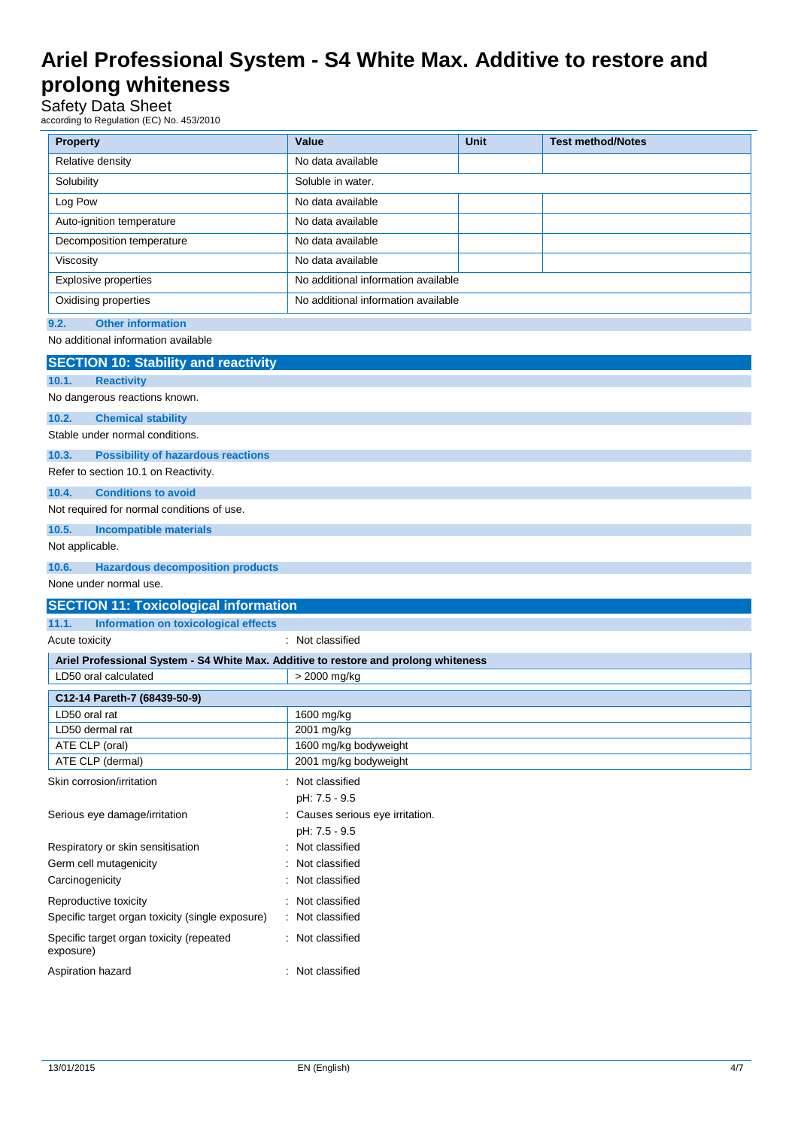## Safety Data Sheet

according to Regulation (EC) No. 453/2010

| <b>Property</b>                                                                     | Value                               | <b>Unit</b> | <b>Test method/Notes</b> |  |
|-------------------------------------------------------------------------------------|-------------------------------------|-------------|--------------------------|--|
| Relative density                                                                    | No data available                   |             |                          |  |
| Solubility                                                                          | Soluble in water.                   |             |                          |  |
| Log Pow                                                                             | No data available                   |             |                          |  |
| Auto-ignition temperature                                                           | No data available                   |             |                          |  |
| Decomposition temperature                                                           | No data available                   |             |                          |  |
| Viscosity                                                                           | No data available                   |             |                          |  |
| Explosive properties                                                                | No additional information available |             |                          |  |
| Oxidising properties                                                                | No additional information available |             |                          |  |
| <b>Other information</b><br>9.2.                                                    |                                     |             |                          |  |
| No additional information available                                                 |                                     |             |                          |  |
| <b>SECTION 10: Stability and reactivity</b>                                         |                                     |             |                          |  |
| 10.1.<br><b>Reactivity</b>                                                          |                                     |             |                          |  |
| No dangerous reactions known.                                                       |                                     |             |                          |  |
| 10.2.<br><b>Chemical stability</b>                                                  |                                     |             |                          |  |
| Stable under normal conditions.                                                     |                                     |             |                          |  |
| 10.3.<br><b>Possibility of hazardous reactions</b>                                  |                                     |             |                          |  |
| Refer to section 10.1 on Reactivity.                                                |                                     |             |                          |  |
| <b>Conditions to avoid</b><br>10.4.                                                 |                                     |             |                          |  |
| Not required for normal conditions of use.                                          |                                     |             |                          |  |
| 10.5.<br><b>Incompatible materials</b>                                              |                                     |             |                          |  |
| Not applicable.                                                                     |                                     |             |                          |  |
| <b>Hazardous decomposition products</b><br>10.6.                                    |                                     |             |                          |  |
| None under normal use.                                                              |                                     |             |                          |  |
| <b>SECTION 11: Toxicological information</b>                                        |                                     |             |                          |  |
| Information on toxicological effects<br>11.1.                                       |                                     |             |                          |  |
| Acute toxicity                                                                      | : Not classified                    |             |                          |  |
| Ariel Professional System - S4 White Max. Additive to restore and prolong whiteness |                                     |             |                          |  |
| LD50 oral calculated                                                                | > 2000 mg/kg                        |             |                          |  |
| C12-14 Pareth-7 (68439-50-9)                                                        |                                     |             |                          |  |
| LD50 oral rat                                                                       | 1600 mg/kg                          |             |                          |  |
| LD50 dermal rat<br>ATE CLP (oral)                                                   | 2001 mg/kg<br>1600 mg/kg bodyweight |             |                          |  |
| ATE CLP (dermal)                                                                    | 2001 mg/kg bodyweight               |             |                          |  |
| Skin corrosion/irritation                                                           | : Not classified                    |             |                          |  |
|                                                                                     | pH: 7.5 - 9.5                       |             |                          |  |
| Serious eye damage/irritation                                                       | : Causes serious eye irritation.    |             |                          |  |
|                                                                                     | pH: 7.5 - 9.5                       |             |                          |  |
| Respiratory or skin sensitisation                                                   | Not classified                      |             |                          |  |
| Germ cell mutagenicity                                                              | Not classified                      |             |                          |  |
| Carcinogenicity                                                                     | Not classified                      |             |                          |  |
| Reproductive toxicity                                                               | Not classified                      |             |                          |  |
| Specific target organ toxicity (single exposure)                                    | Not classified                      |             |                          |  |
| Specific target organ toxicity (repeated<br>Not classified<br>exposure)             |                                     |             |                          |  |
| Aspiration hazard                                                                   | Not classified                      |             |                          |  |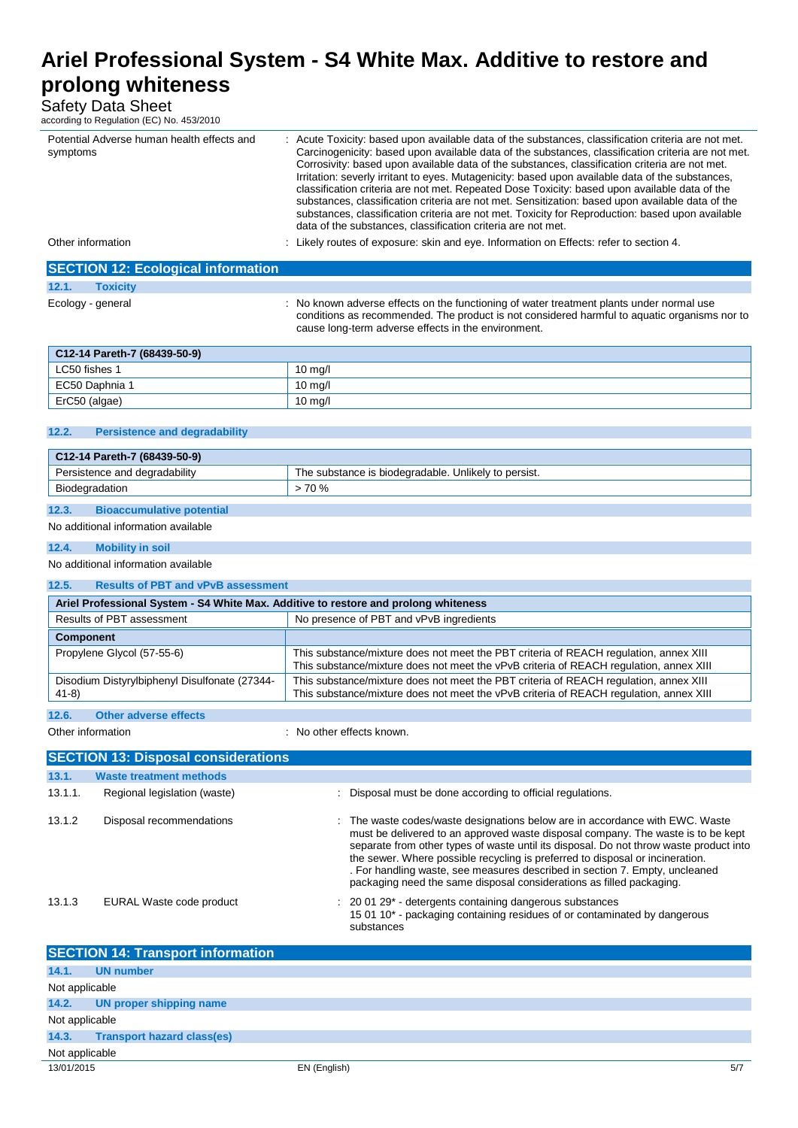Safety Data Sheet

according to Regulation (EC) No. 453/2010

| Potential Adverse human health effects and<br>symptoms                              | Acute Toxicity: based upon available data of the substances, classification criteria are not met.<br>Carcinogenicity: based upon available data of the substances, classification criteria are not met.<br>Corrosivity: based upon available data of the substances, classification criteria are not met.<br>Irritation: severly irritant to eyes. Mutagenicity: based upon available data of the substances,<br>classification criteria are not met. Repeated Dose Toxicity: based upon available data of the<br>substances, classification criteria are not met. Sensitization: based upon available data of the<br>substances, classification criteria are not met. Toxicity for Reproduction: based upon available<br>data of the substances, classification criteria are not met. |  |  |
|-------------------------------------------------------------------------------------|----------------------------------------------------------------------------------------------------------------------------------------------------------------------------------------------------------------------------------------------------------------------------------------------------------------------------------------------------------------------------------------------------------------------------------------------------------------------------------------------------------------------------------------------------------------------------------------------------------------------------------------------------------------------------------------------------------------------------------------------------------------------------------------|--|--|
| Other information                                                                   | : Likely routes of exposure: skin and eye. Information on Effects: refer to section 4.                                                                                                                                                                                                                                                                                                                                                                                                                                                                                                                                                                                                                                                                                                 |  |  |
| <b>SECTION 12: Ecological information</b>                                           |                                                                                                                                                                                                                                                                                                                                                                                                                                                                                                                                                                                                                                                                                                                                                                                        |  |  |
| 12.1.<br><b>Toxicity</b>                                                            |                                                                                                                                                                                                                                                                                                                                                                                                                                                                                                                                                                                                                                                                                                                                                                                        |  |  |
| Ecology - general                                                                   | : No known adverse effects on the functioning of water treatment plants under normal use<br>conditions as recommended. The product is not considered harmful to aquatic organisms nor to<br>cause long-term adverse effects in the environment.                                                                                                                                                                                                                                                                                                                                                                                                                                                                                                                                        |  |  |
| C12-14 Pareth-7 (68439-50-9)                                                        |                                                                                                                                                                                                                                                                                                                                                                                                                                                                                                                                                                                                                                                                                                                                                                                        |  |  |
| LC50 fishes 1                                                                       | 10 mg/l                                                                                                                                                                                                                                                                                                                                                                                                                                                                                                                                                                                                                                                                                                                                                                                |  |  |
| EC50 Daphnia 1                                                                      | 10 mg/l                                                                                                                                                                                                                                                                                                                                                                                                                                                                                                                                                                                                                                                                                                                                                                                |  |  |
| ErC50 (algae)                                                                       | $10$ mg/l                                                                                                                                                                                                                                                                                                                                                                                                                                                                                                                                                                                                                                                                                                                                                                              |  |  |
| 12.2.<br><b>Persistence and degradability</b>                                       |                                                                                                                                                                                                                                                                                                                                                                                                                                                                                                                                                                                                                                                                                                                                                                                        |  |  |
| C12-14 Pareth-7 (68439-50-9)                                                        |                                                                                                                                                                                                                                                                                                                                                                                                                                                                                                                                                                                                                                                                                                                                                                                        |  |  |
| Persistence and degradability                                                       | The substance is biodegradable. Unlikely to persist.                                                                                                                                                                                                                                                                                                                                                                                                                                                                                                                                                                                                                                                                                                                                   |  |  |
| Biodegradation                                                                      | >70%                                                                                                                                                                                                                                                                                                                                                                                                                                                                                                                                                                                                                                                                                                                                                                                   |  |  |
| 12.3.<br><b>Bioaccumulative potential</b>                                           |                                                                                                                                                                                                                                                                                                                                                                                                                                                                                                                                                                                                                                                                                                                                                                                        |  |  |
| No additional information available                                                 |                                                                                                                                                                                                                                                                                                                                                                                                                                                                                                                                                                                                                                                                                                                                                                                        |  |  |
|                                                                                     |                                                                                                                                                                                                                                                                                                                                                                                                                                                                                                                                                                                                                                                                                                                                                                                        |  |  |
| 12.4.<br><b>Mobility in soil</b>                                                    |                                                                                                                                                                                                                                                                                                                                                                                                                                                                                                                                                                                                                                                                                                                                                                                        |  |  |
| No additional information available                                                 |                                                                                                                                                                                                                                                                                                                                                                                                                                                                                                                                                                                                                                                                                                                                                                                        |  |  |
| 12.5.<br><b>Results of PBT and vPvB assessment</b>                                  |                                                                                                                                                                                                                                                                                                                                                                                                                                                                                                                                                                                                                                                                                                                                                                                        |  |  |
| Ariel Professional System - S4 White Max. Additive to restore and prolong whiteness |                                                                                                                                                                                                                                                                                                                                                                                                                                                                                                                                                                                                                                                                                                                                                                                        |  |  |
| Results of PBT assessment                                                           | No presence of PBT and vPvB ingredients                                                                                                                                                                                                                                                                                                                                                                                                                                                                                                                                                                                                                                                                                                                                                |  |  |
| <b>Component</b>                                                                    |                                                                                                                                                                                                                                                                                                                                                                                                                                                                                                                                                                                                                                                                                                                                                                                        |  |  |
| Propylene Glycol (57-55-6)                                                          | This substance/mixture does not meet the PBT criteria of REACH regulation, annex XIII<br>This substance/mixture does not meet the vPvB criteria of REACH regulation, annex XIII                                                                                                                                                                                                                                                                                                                                                                                                                                                                                                                                                                                                        |  |  |
| Disodium Distyrylbiphenyl Disulfonate (27344-<br>$41-8)$                            | This substance/mixture does not meet the PBT criteria of REACH regulation, annex XIII<br>This substance/mixture does not meet the vPvB criteria of REACH regulation, annex XIII                                                                                                                                                                                                                                                                                                                                                                                                                                                                                                                                                                                                        |  |  |
| <b>Other adverse effects</b><br>12.6.                                               |                                                                                                                                                                                                                                                                                                                                                                                                                                                                                                                                                                                                                                                                                                                                                                                        |  |  |
| Other information                                                                   | No other effects known.                                                                                                                                                                                                                                                                                                                                                                                                                                                                                                                                                                                                                                                                                                                                                                |  |  |
| <b>SECTION 13: Disposal considerations</b>                                          |                                                                                                                                                                                                                                                                                                                                                                                                                                                                                                                                                                                                                                                                                                                                                                                        |  |  |
| 13.1.<br><b>Waste treatment methods</b>                                             |                                                                                                                                                                                                                                                                                                                                                                                                                                                                                                                                                                                                                                                                                                                                                                                        |  |  |
| 13.1.1.<br>Regional legislation (waste)                                             | : Disposal must be done according to official regulations.                                                                                                                                                                                                                                                                                                                                                                                                                                                                                                                                                                                                                                                                                                                             |  |  |
| 13.1.2<br>Disposal recommendations                                                  | The waste codes/waste designations below are in accordance with EWC. Waste<br>must be delivered to an approved waste disposal company. The waste is to be kept<br>separate from other types of waste until its disposal. Do not throw waste product into<br>the sewer. Where possible recycling is preferred to disposal or incineration.<br>. For handling waste, see measures described in section 7. Empty, uncleaned<br>packaging need the same disposal considerations as filled packaging.                                                                                                                                                                                                                                                                                       |  |  |
| 13.1.3<br>EURAL Waste code product                                                  | 20 01 29* - detergents containing dangerous substances<br>15 01 10* - packaging containing residues of or contaminated by dangerous<br>substances                                                                                                                                                                                                                                                                                                                                                                                                                                                                                                                                                                                                                                      |  |  |
| <b>SECTION 14: Transport information</b>                                            |                                                                                                                                                                                                                                                                                                                                                                                                                                                                                                                                                                                                                                                                                                                                                                                        |  |  |
| 14.1.<br><b>UN number</b>                                                           |                                                                                                                                                                                                                                                                                                                                                                                                                                                                                                                                                                                                                                                                                                                                                                                        |  |  |
| Not applicable                                                                      |                                                                                                                                                                                                                                                                                                                                                                                                                                                                                                                                                                                                                                                                                                                                                                                        |  |  |
| 14.2.<br>UN proper shipping name                                                    |                                                                                                                                                                                                                                                                                                                                                                                                                                                                                                                                                                                                                                                                                                                                                                                        |  |  |
| Not applicable                                                                      |                                                                                                                                                                                                                                                                                                                                                                                                                                                                                                                                                                                                                                                                                                                                                                                        |  |  |
| 14.3.<br><b>Transport hazard class(es)</b>                                          |                                                                                                                                                                                                                                                                                                                                                                                                                                                                                                                                                                                                                                                                                                                                                                                        |  |  |
| Not applicable                                                                      |                                                                                                                                                                                                                                                                                                                                                                                                                                                                                                                                                                                                                                                                                                                                                                                        |  |  |
| 13/01/2015                                                                          | EN (English)<br>5/7                                                                                                                                                                                                                                                                                                                                                                                                                                                                                                                                                                                                                                                                                                                                                                    |  |  |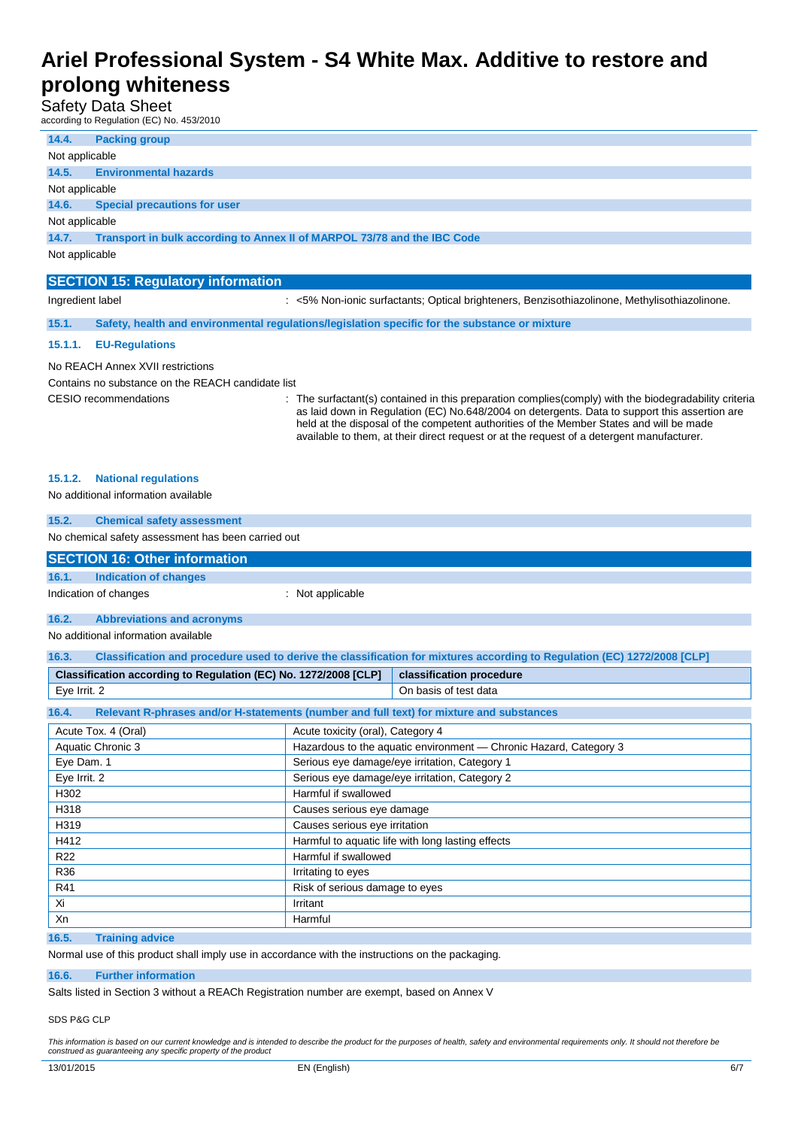Safety Data Sheet

according to Regulation (EC) No. 453/2010

| 14.4.                                             | <b>Packing group</b>                                                                                              |  |  |
|---------------------------------------------------|-------------------------------------------------------------------------------------------------------------------|--|--|
| Not applicable                                    |                                                                                                                   |  |  |
| 14.5.                                             | <b>Environmental hazards</b>                                                                                      |  |  |
| Not applicable                                    |                                                                                                                   |  |  |
| 14.6.                                             | <b>Special precautions for user</b>                                                                               |  |  |
| Not applicable                                    |                                                                                                                   |  |  |
| 14.7.                                             | Transport in bulk according to Annex II of MARPOL 73/78 and the IBC Code                                          |  |  |
| Not applicable                                    |                                                                                                                   |  |  |
|                                                   |                                                                                                                   |  |  |
|                                                   | <b>SECTION 15: Regulatory information</b>                                                                         |  |  |
|                                                   | Ingredient label<br>: <5% Non-ionic surfactants; Optical brighteners, Benzisothiazolinone, Methylisothiazolinone. |  |  |
| 15.1.                                             | Safety, health and environmental regulations/legislation specific for the substance or mixture                    |  |  |
| 15.1.1.                                           | <b>EU-Regulations</b>                                                                                             |  |  |
| No REACH Annex XVII restrictions                  |                                                                                                                   |  |  |
| Contains no substance on the REACH candidate list |                                                                                                                   |  |  |

CESIO recommendations : The surfactant(s) contained in this preparation complies(comply) with the biodegradability criteria as laid down in Regulation (EC) No.648/2004 on detergents. Data to support this assertion are held at the disposal of the competent authorities of the Member States and will be made available to them, at their direct request or at the request of a detergent manufacturer.

#### **15.1.2. National regulations**

No additional information available

| 15.2.                                              | <b>Chemical safety assessment</b>                                                        |                                                   |                                                                                                                          |  |  |
|----------------------------------------------------|------------------------------------------------------------------------------------------|---------------------------------------------------|--------------------------------------------------------------------------------------------------------------------------|--|--|
| No chemical safety assessment has been carried out |                                                                                          |                                                   |                                                                                                                          |  |  |
|                                                    | <b>SECTION 16: Other information</b>                                                     |                                                   |                                                                                                                          |  |  |
| 16.1.                                              | <b>Indication of changes</b>                                                             |                                                   |                                                                                                                          |  |  |
|                                                    |                                                                                          |                                                   |                                                                                                                          |  |  |
|                                                    | Indication of changes                                                                    | : Not applicable                                  |                                                                                                                          |  |  |
| 16.2.                                              | <b>Abbreviations and acronyms</b>                                                        |                                                   |                                                                                                                          |  |  |
|                                                    | No additional information available                                                      |                                                   |                                                                                                                          |  |  |
| 16.3.                                              |                                                                                          |                                                   | Classification and procedure used to derive the classification for mixtures according to Regulation (EC) 1272/2008 [CLP] |  |  |
|                                                    |                                                                                          |                                                   |                                                                                                                          |  |  |
|                                                    | Classification according to Regulation (EC) No. 1272/2008 [CLP]                          |                                                   | classification procedure                                                                                                 |  |  |
| Eye Irrit. 2                                       |                                                                                          |                                                   | On basis of test data                                                                                                    |  |  |
| 16.4.                                              | Relevant R-phrases and/or H-statements (number and full text) for mixture and substances |                                                   |                                                                                                                          |  |  |
|                                                    | Acute Tox. 4 (Oral)                                                                      | Acute toxicity (oral), Category 4                 |                                                                                                                          |  |  |
|                                                    | Aquatic Chronic 3                                                                        |                                                   | Hazardous to the aquatic environment - Chronic Hazard, Category 3                                                        |  |  |
| Eye Dam. 1                                         |                                                                                          | Serious eye damage/eye irritation, Category 1     |                                                                                                                          |  |  |
| Eye Irrit. 2                                       |                                                                                          | Serious eye damage/eye irritation, Category 2     |                                                                                                                          |  |  |
| H302                                               |                                                                                          | Harmful if swallowed                              |                                                                                                                          |  |  |
| H318                                               |                                                                                          | Causes serious eye damage                         |                                                                                                                          |  |  |
| H319                                               |                                                                                          | Causes serious eye irritation                     |                                                                                                                          |  |  |
| H412                                               |                                                                                          | Harmful to aquatic life with long lasting effects |                                                                                                                          |  |  |
| R <sub>22</sub>                                    |                                                                                          | Harmful if swallowed                              |                                                                                                                          |  |  |
| R36                                                |                                                                                          | Irritating to eyes                                |                                                                                                                          |  |  |
| R41                                                |                                                                                          | Risk of serious damage to eyes                    |                                                                                                                          |  |  |
| Xi<br>Irritant                                     |                                                                                          |                                                   |                                                                                                                          |  |  |
| Xn                                                 |                                                                                          | Harmful                                           |                                                                                                                          |  |  |

### **16.5. Training advice**

Normal use of this product shall imply use in accordance with the instructions on the packaging.

#### **16.6. Further information**

Salts listed in Section 3 without a REACh Registration number are exempt, based on Annex V

#### SDS P&G CLP

This information is based on our current knowledge and is intended to describe the product for the purposes of health, safety and environmental requirements only. It should not therefore be *construed as guaranteeing any specific property of the product*